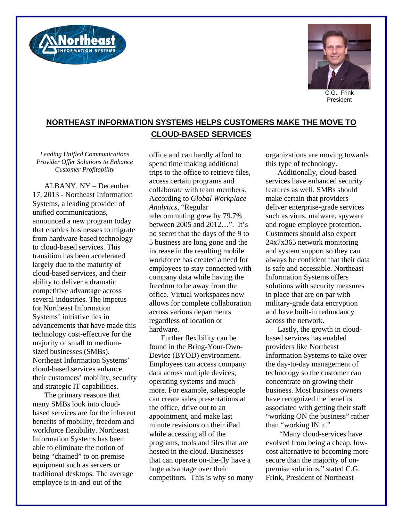



C.G. Frink President

## **NORTHEAST INFORMATION SYSTEMS HELPS CUSTOMERS MAKE THE MOVE TO CLOUD-BASED SERVICES**

*Leading Unified Communications Provider Offer Solutions to Enhance Customer Profitability* 

ALBANY, NY – December 17, 2013 - Northeast Information Systems, a leading provider of unified communications, announced a new program today that enables businesses to migrate from hardware-based technology to cloud-based services. This transition has been accelerated largely due to the maturity of cloud-based services, and their ability to deliver a dramatic competitive advantage across several industries. The impetus for Northeast Information Systems' initiative lies in advancements that have made this technology cost-effective for the majority of small to mediumsized businesses (SMBs). Northeast Information Systems' cloud-based services enhance their customers' mobility, security and strategic IT capabilities.

The primary reasons that many SMBs look into cloudbased services are for the inherent benefits of mobility, freedom and workforce flexibility. Northeast Information Systems has been able to eliminate the notion of being "chained" to on premise equipment such as servers or traditional desktops. The average employee is in-and-out of the

office and can hardly afford to spend time making additional trips to the office to retrieve files, access certain programs and collaborate with team members. According to *Global Workplace Analytics*, "Regular telecommuting grew by 79.7% between 2005 and 2012…". It's no secret that the days of the 9 to 5 business are long gone and the increase in the resulting mobile workforce has created a need for employees to stay connected with company data while having the freedom to be away from the office. Virtual workspaces now allows for complete collaboration across various departments regardless of location or hardware.

Further flexibility can be found in the Bring-Your-Own-Device (BYOD) environment. Employees can access company data across multiple devices, operating systems and much more. For example, salespeople can create sales presentations at the office, drive out to an appointment, and make last minute revisions on their iPad while accessing all of the programs, tools and files that are hosted in the cloud. Businesses that can operate on-the-fly have a huge advantage over their competitors. This is why so many organizations are moving towards this type of technology.

Additionally, cloud-based services have enhanced security features as well. SMBs should make certain that providers deliver enterprise-grade services such as virus, malware, spyware and rogue employee protection. Customers should also expect 24x7x365 network monitoring and system support so they can always be confident that their data is safe and accessible. Northeast Information Systems offers solutions with security measures in place that are on par with military-grade data encryption and have built-in redundancy across the network.

Lastly, the growth in cloudbased services has enabled providers like Northeast Information Systems to take over the day-to-day management of technology so the customer can concentrate on growing their business. Most business owners have recognized the benefits associated with getting their staff "working ON the business" rather than "working IN it."

 "Many cloud-services have evolved from being a cheap, lowcost alternative to becoming more secure than the majority of onpremise solutions," stated C.G. Frink, President of Northeast